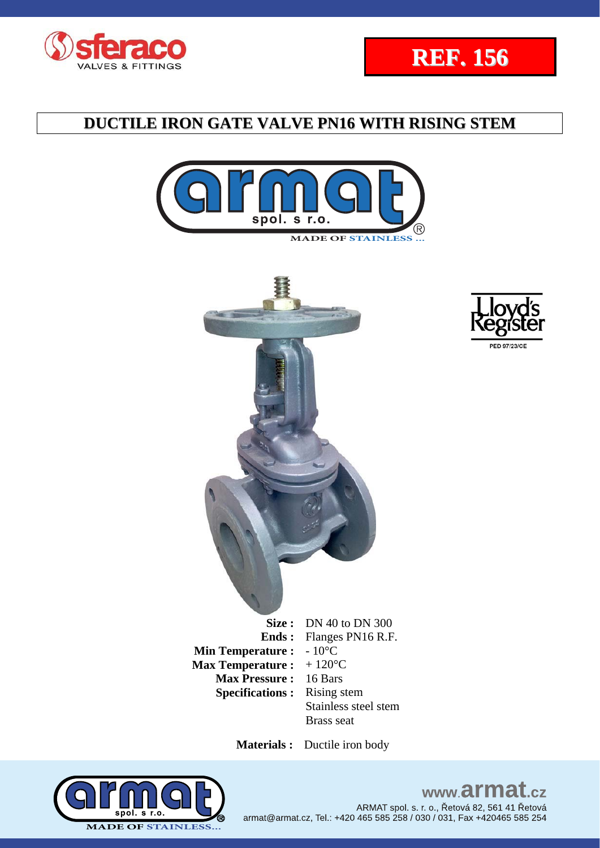









 **Materials :** Ductile iron body



### www.armat.cz ARMAT spol. s. r. o., Řetová 82, 561 41 Řetová armat@armat.cz, Tel.: +420 465 585 258 / 030 / 031, Fax +420465 585 254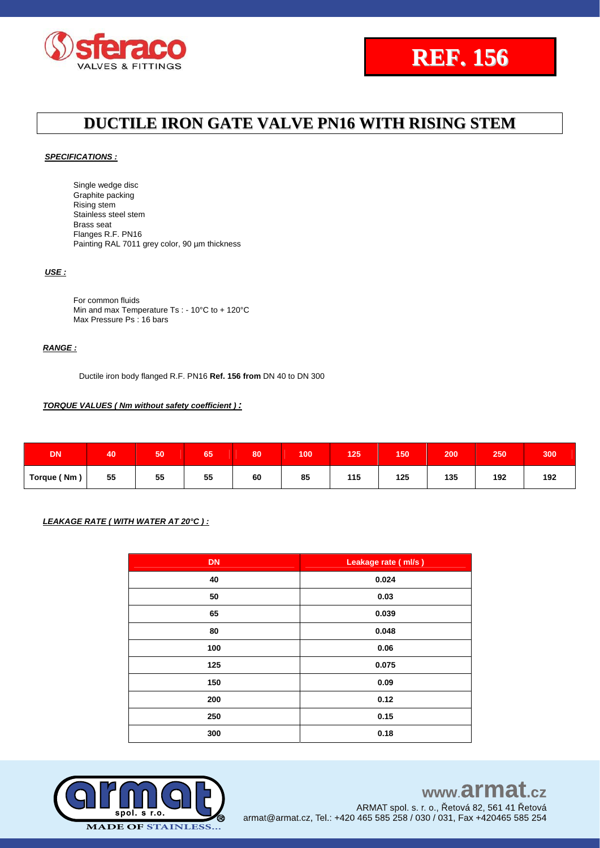



#### *SPECIFICATIONS :*

Single wedge disc Graphite packing Rising stem Stainless steel stem Brass seat Flanges R.F. PN16 Painting RAL 7011 grey color, 90 um thickness

### *USE :*

For common fluids Min and max Temperature Ts : - 10°C to + 120°C Max Pressure Ps: 16 bars

### *RANGE :*

Ductile iron body flanged R.F. PN16 **Ref. 156 from** DN 40 to DN 300

### *TORQUE VALUES ( Nm without safety coefficient ) :*

| <b>DN</b>   | 40 | 50 | 65 | 80 | 100 | 125 | 150'                      | 200 | 250 | 300 |
|-------------|----|----|----|----|-----|-----|---------------------------|-----|-----|-----|
| Torque (Nm, | 55 | 55 | 55 | 60 | 85  | 115 | 125<br>and the control of | 135 | 192 | 192 |

### *LEAKAGE RATE ( WITH WATER AT 20°C ) :*

| <b>DN</b> | Leakage rate (ml/s) |
|-----------|---------------------|
| 40        | 0.024               |
| 50        | 0.03                |
| 65        | 0.039               |
| 80        | 0.048               |
| 100       | 0.06                |
| 125       | 0.075               |
| 150       | 0.09                |
| 200       | 0.12                |
| 250       | 0.15                |
| 300       | 0.18                |



# www.armat.cz

ARMAT spol. s. r. o., Řetová 82, 561 41 Řetová armat@armat.cz, Tel.: +420 465 585 258 / 030 / 031, Fax +420465 585 254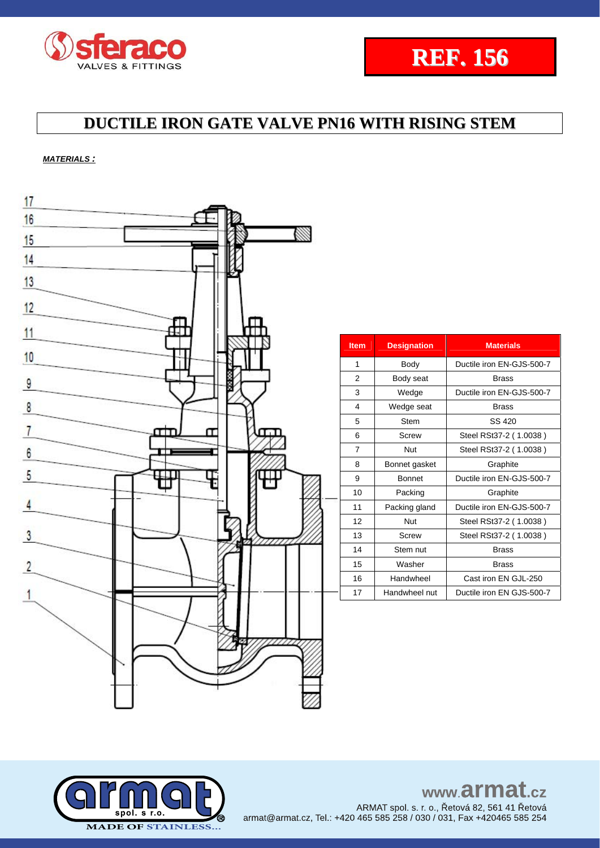



*MATERIALS :*



| <b>Item</b>    | <b>Designation</b> | <b>Materials</b>          |
|----------------|--------------------|---------------------------|
| 1              | Body               | Ductile iron EN-GJS-500-7 |
| 2              | Body seat          | <b>Brass</b>              |
| 3              | Wedge              | Ductile iron EN-GJS-500-7 |
| 4              | Wedge seat         | Brass                     |
| 5              | <b>Stem</b>        | SS 420                    |
| 6              | Screw              | Steel RSt37-2 (1.0038)    |
| $\overline{7}$ | <b>Nut</b>         | Steel RSt37-2 (1.0038)    |
| 8              | Bonnet gasket      | Graphite                  |
| 9              | <b>Bonnet</b>      | Ductile iron EN-GJS-500-7 |
| 10             | Packing            | Graphite                  |
| 11             | Packing gland      | Ductile iron EN-GJS-500-7 |
| 12             | <b>Nut</b>         | Steel RSt37-2 (1.0038)    |
| 13             | Screw              | Steel RSt37-2 (1.0038)    |
| 14             | Stem nut           | Brass                     |
| 15             | Washer             | <b>Brass</b>              |
| 16             | Handwheel          | Cast iron EN GJL-250      |
| 17             | Handwheel nut      | Ductile iron EN GJS-500-7 |



www.armat.cz ARMAT spol. s. r. o., Řetová 82, 561 41 Řetová armat@armat.cz, Tel.: +420 465 585 258 / 030 / 031, Fax +420465 585 254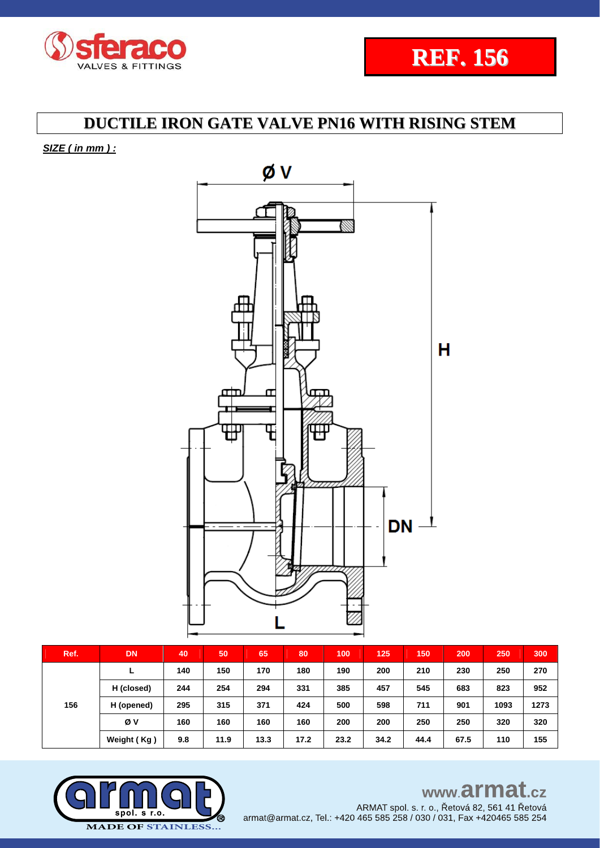

*SIZE ( in mm ) :* 



| Ref. | <b>DN</b>   | 40  | 50   | 65   | 80   | 100  | 125  | 150  | 200  | 250  | 300  |
|------|-------------|-----|------|------|------|------|------|------|------|------|------|
| 156  |             | 140 | 150  | 170  | 180  | 190  | 200  | 210  | 230  | 250  | 270  |
|      | H (closed)  | 244 | 254  | 294  | 331  | 385  | 457  | 545  | 683  | 823  | 952  |
|      | H (opened)  | 295 | 315  | 371  | 424  | 500  | 598  | 711  | 901  | 1093 | 1273 |
|      | Øν          | 160 | 160  | 160  | 160  | 200  | 200  | 250  | 250  | 320  | 320  |
|      | Weight (Kg) | 9.8 | 11.9 | 13.3 | 17.2 | 23.2 | 34.2 | 44.4 | 67.5 | 110  | 155  |



www.armat.cz

ARMAT spol. s. r. o., Řetová 82, 561 41 Řetová armat@armat.cz, Tel.: +420 465 585 258 / 030 / 031, Fax +420465 585 254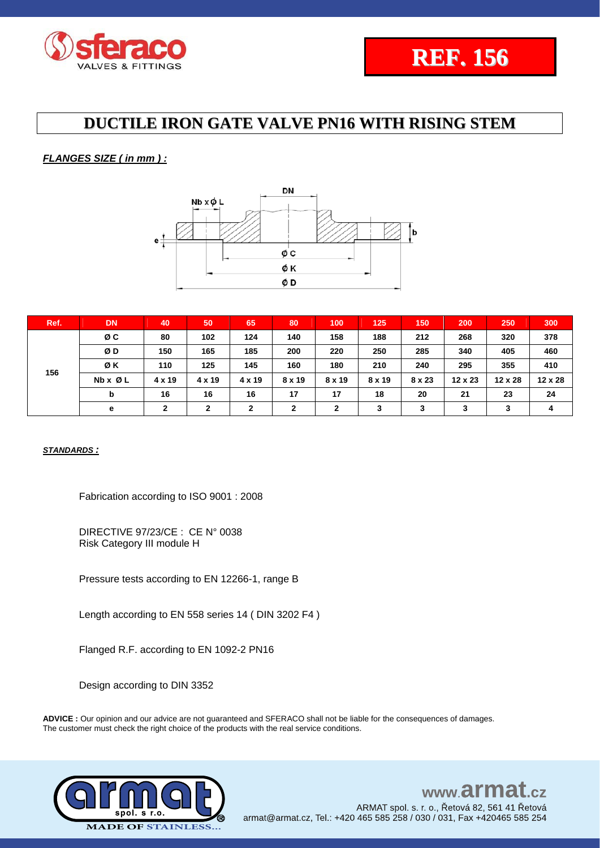

### *FLANGES SIZE ( in mm ) :*



| Ref. | <b>DN</b>               | 40             | 50            | 65           | 80            | 100           | 125           | 150    | 200     | 250     | 300     |
|------|-------------------------|----------------|---------------|--------------|---------------|---------------|---------------|--------|---------|---------|---------|
| 156  | øс                      | 80             | 102           | 124          | 140           | 158           | 188           | 212    | 268     | 320     | 378     |
|      | ØD                      | 150            | 165           | 185          | 200           | 220           | 250           | 285    | 340     | 405     | 460     |
|      | ØΚ                      | 110            | 125           | 145          | 160           | 180           | 210           | 240    | 295     | 355     | 410     |
|      | $Nb \times \emptyset$ L | $4 \times 19$  | $4 \times 19$ | 4 x 19       | $8 \times 19$ | $8 \times 19$ | $8 \times 19$ | 8 x 23 | 12 x 23 | 12 x 28 | 12 x 28 |
|      | b                       | 16             | 16            | 16           | 17            | 17            | 18            | 20     | 21      | 23      | 24      |
|      | е                       | $\overline{2}$ | $\mathbf{2}$  | $\mathbf{2}$ | $\mathbf{2}$  | $\mathbf{2}$  | 3             | 3      | 3       | 3       | 4       |

### *STANDARDS :*

Fabrication according to ISO 9001 : 2008

DIRECTIVE 97/23/CE : CE N° 0038 Risk Category III module H

Pressure tests according to EN 12266-1, range B

Length according to EN 558 series 14 ( DIN 3202 F4 )

Flanged R.F. according to EN 1092-2 PN16

Design according to DIN 3352

**ADVICE :** Our opinion and our advice are not guaranteed and SFERACO shall not be liable for the consequences of damages. The customer must check the right choice of the products with the real service conditions.



#### www.armat  $c\overline{z}$ ARMAT spol. s. r. o., Řetová 82, 561 41 Řetová armat@armat.cz, Tel.: +420 465 585 258 / 030 / 031, Fax +420465 585 254